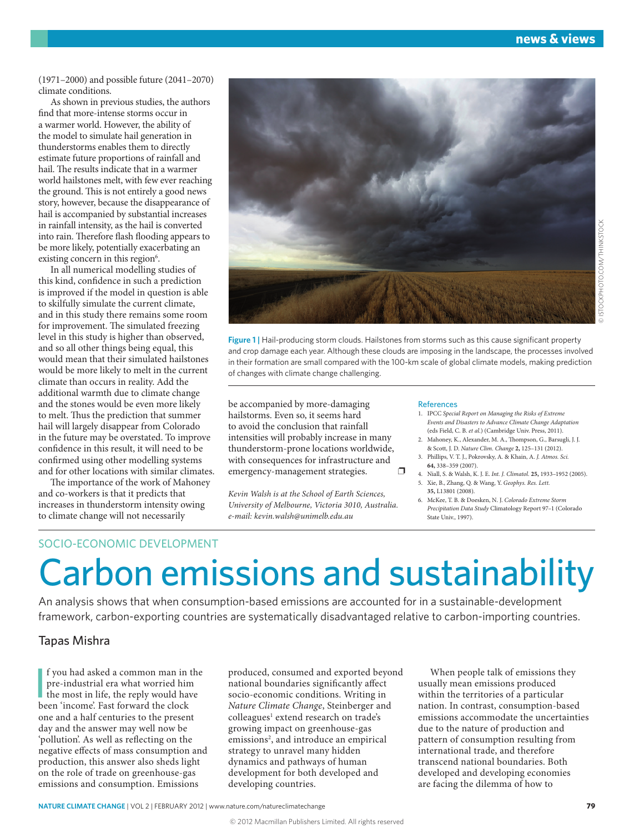(1971–2000) and possible future (2041–2070) climate conditions.

As shown in previous studies, the authors find that more-intense storms occur in a warmer world. However, the ability of the model to simulate hail generation in thunderstorms enables them to directly estimate future proportions of rainfall and hail. The results indicate that in a warmer world hailstones melt, with few ever reaching the ground. This is not entirely a good news story, however, because the disappearance of hail is accompanied by substantial increases in rainfall intensity, as the hail is converted into rain. Therefore flash flooding appears to be more likely, potentially exacerbating an existing concern in this region<sup>6</sup>.

In all numerical modelling studies of this kind, confidence in such a prediction is improved if the model in question is able to skilfully simulate the current climate, and in this study there remains some room for improvement. The simulated freezing level in this study is higher than observed, and so all other things being equal, this would mean that their simulated hailstones would be more likely to melt in the current climate than occurs in reality. Add the additional warmth due to climate change and the stones would be even more likely to melt. Thus the prediction that summer hail will largely disappear from Colorado in the future may be overstated. To improve confidence in this result, it will need to be confirmed using other modelling systems and for other locations with similar climates.

The importance of the work of Mahoney and co-workers is that it predicts that increases in thunderstorm intensity owing to climate change will not necessarily



be accompanied by more-damaging hailstorms. Even so, it seems hard to avoid the conclusion that rainfall intensities will probably increase in many thunderstorm-prone locations worldwide, with consequences for infrastructure and emergency-management strategies.  $\square$ 

*Kevin Walsh is at the School of Earth Sciences, University of Melbourne, Victoria 3010, Australia. e-mail: kevin.walsh@unimelb.edu.au*

#### References

- 1. IPCC *Special Report on Managing the Risks of Extreme Events and Disasters to Advance Climate Change Adaptation* (eds Field, C. B. *et al*.) (Cambridge Univ. Press, 2011).
- 2. Mahoney, K., Alexander, M. A., Thompson, G., Barsugli, J. J. & Scott, J. D. *Nature Clim. Change* **2,** 125–131 (2012).
- 3. Phillips, V. T. J., Pokrovsky, A. & Khain, A. *J. Atmos. Sci.* **64,** 338–359 (2007).
- 4. Niall, S. & Walsh, K. J. E. *Int. J. Climatol.* **25,** 1933–1952 (2005). 5. Xie, B., Zhang, Q. & Wang, Y. *Geophys. Res. Lett.* **35,** L13801 (2008).
- 6. McKee, T. B. & Doesken, N. J. *Colorado Extreme Storm Precipitation Data Study* Climatology Report 97–1 (Colorado State Univ., 1997).

## SOCIO-ECONOMIC DEVELOPMENT

# Carbon emissions and sustainability

An analysis shows that when consumption-based emissions are accounted for in a sustainable-development framework, carbon-exporting countries are systematically disadvantaged relative to carbon-importing countries.

## Tapas Mishra

I f you had asked a common man in ipre-industrial era what worried hin<br>the most in life, the reply would have<br>been 'income'. Fast forward the clock f you had asked a common man in the pre-industrial era what worried him the most in life, the reply would have one and a half centuries to the present day and the answer may well now be 'pollution'. As well as reflecting on the negative effects of mass consumption and production, this answer also sheds light on the role of trade on greenhouse-gas emissions and consumption. Emissions

produced, consumed and exported beyond national boundaries significantly affect socio-economic conditions. Writing in *Nature Climate Change*, Steinberger and colleagues<sup>1</sup> extend research on trade's growing impact on greenhouse-gas emissions<sup>2</sup>, and introduce an empirical strategy to unravel many hidden dynamics and pathways of human development for both developed and developing countries.

When people talk of emissions they usually mean emissions produced within the territories of a particular nation. In contrast, consumption-based emissions accommodate the uncertainties due to the nature of production and pattern of consumption resulting from international trade, and therefore transcend national boundaries. Both developed and developing economies are facing the dilemma of how to